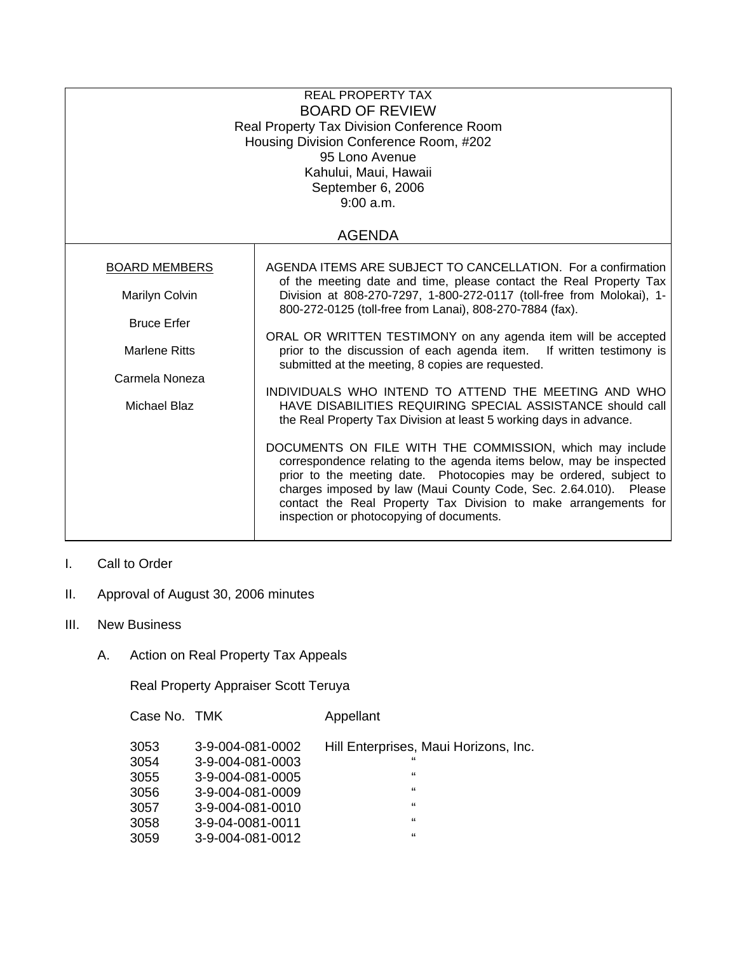| <b>REAL PROPERTY TAX</b><br><b>BOARD OF REVIEW</b><br>Real Property Tax Division Conference Room<br>Housing Division Conference Room, #202<br>95 Lono Avenue<br>Kahului, Maui, Hawaii<br>September 6, 2006<br>9:00 a.m.<br><b>AGENDA</b> |                                                                                                                                                                                                                                                                                                                                                                                         |  |  |  |
|------------------------------------------------------------------------------------------------------------------------------------------------------------------------------------------------------------------------------------------|-----------------------------------------------------------------------------------------------------------------------------------------------------------------------------------------------------------------------------------------------------------------------------------------------------------------------------------------------------------------------------------------|--|--|--|
|                                                                                                                                                                                                                                          |                                                                                                                                                                                                                                                                                                                                                                                         |  |  |  |
| <b>BOARD MEMBERS</b><br>Marilyn Colvin                                                                                                                                                                                                   | AGENDA ITEMS ARE SUBJECT TO CANCELLATION. For a confirmation<br>of the meeting date and time, please contact the Real Property Tax<br>Division at 808-270-7297, 1-800-272-0117 (toll-free from Molokai), 1-                                                                                                                                                                             |  |  |  |
| <b>Bruce Erfer</b><br><b>Marlene Ritts</b><br>Carmela Noneza<br>Michael Blaz                                                                                                                                                             | 800-272-0125 (toll-free from Lanai), 808-270-7884 (fax).                                                                                                                                                                                                                                                                                                                                |  |  |  |
|                                                                                                                                                                                                                                          | ORAL OR WRITTEN TESTIMONY on any agenda item will be accepted<br>prior to the discussion of each agenda item. If written testimony is<br>submitted at the meeting, 8 copies are requested.                                                                                                                                                                                              |  |  |  |
|                                                                                                                                                                                                                                          |                                                                                                                                                                                                                                                                                                                                                                                         |  |  |  |
|                                                                                                                                                                                                                                          | INDIVIDUALS WHO INTEND TO ATTEND THE MEETING AND WHO<br>HAVE DISABILITIES REQUIRING SPECIAL ASSISTANCE should call<br>the Real Property Tax Division at least 5 working days in advance.                                                                                                                                                                                                |  |  |  |
|                                                                                                                                                                                                                                          | DOCUMENTS ON FILE WITH THE COMMISSION, which may include<br>correspondence relating to the agenda items below, may be inspected<br>prior to the meeting date. Photocopies may be ordered, subject to<br>charges imposed by law (Maui County Code, Sec. 2.64.010). Please<br>contact the Real Property Tax Division to make arrangements for<br>inspection or photocopying of documents. |  |  |  |

- I. Call to Order
- II. Approval of August 30, 2006 minutes
- III. New Business
	- A. Action on Real Property Tax Appeals

Real Property Appraiser Scott Teruya

Case No. TMK Appellant

| 3053 | 3-9-004-081-0002 | Hill Enterprises, Maui Horizons, Inc. |
|------|------------------|---------------------------------------|
| 3054 | 3-9-004-081-0003 | "                                     |
| 3055 | 3-9-004-081-0005 | "                                     |
| 3056 | 3-9-004-081-0009 | "                                     |
| 3057 | 3-9-004-081-0010 | "                                     |
| 3058 | 3-9-04-0081-0011 | "                                     |
| 3059 | 3-9-004-081-0012 | "                                     |
|      |                  |                                       |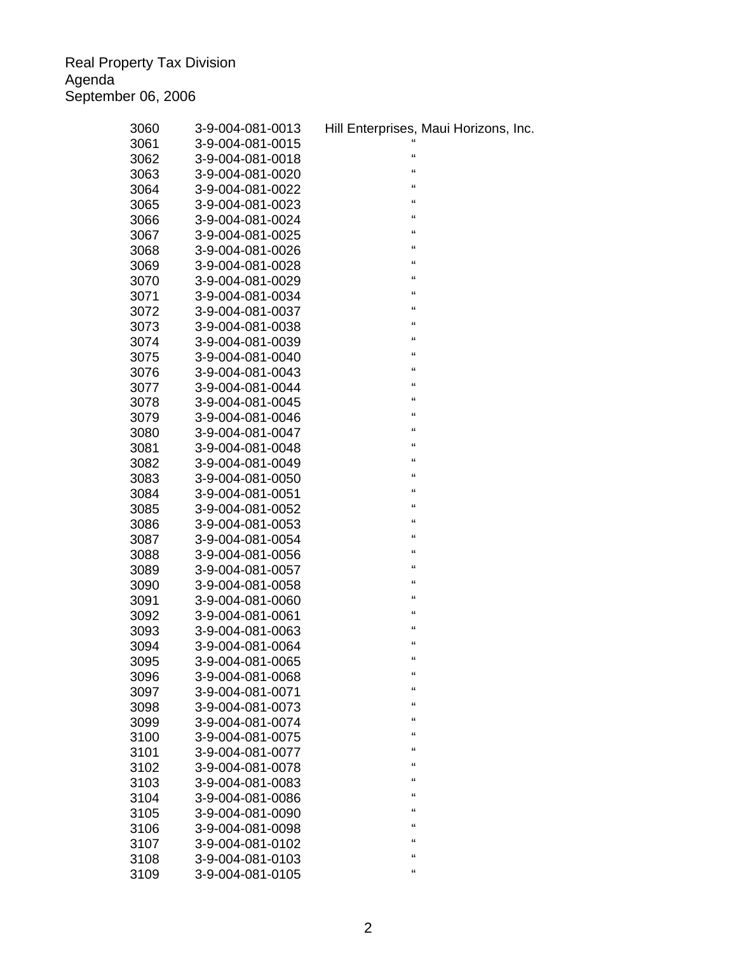Real Property Tax Division Agenda September 06, 2006

| 3060 | 3-9-004-081-0013                     | Hill Enterprises, Maui Horizons, Inc. |
|------|--------------------------------------|---------------------------------------|
| 3061 | 3-9-004-081-0015                     |                                       |
| 3062 | 3-9-004-081-0018                     | $\epsilon$                            |
| 3063 | 3-9-004-081-0020                     | "                                     |
| 3064 | 3-9-004-081-0022                     | $\mathfrak{c}\mathfrak{c}$            |
| 3065 | 3-9-004-081-0023                     | $\mathfrak{c}\mathfrak{c}$            |
| 3066 | 3-9-004-081-0024                     | $\mathfrak{c}\mathfrak{c}$            |
| 3067 | 3-9-004-081-0025                     | "                                     |
| 3068 | 3-9-004-081-0026                     | "                                     |
| 3069 | 3-9-004-081-0028                     | $\mathfrak{c}\mathfrak{c}$            |
| 3070 | 3-9-004-081-0029                     | $\mathfrak{c}\mathfrak{c}$            |
| 3071 | 3-9-004-081-0034                     | $\mathfrak{c}\mathfrak{c}$            |
| 3072 | 3-9-004-081-0037                     | $\mathfrak{c}\mathfrak{c}$            |
| 3073 | 3-9-004-081-0038                     | $\mathfrak{c}\mathfrak{c}$            |
| 3074 | 3-9-004-081-0039                     | $\mathfrak{c}\mathfrak{c}$            |
| 3075 | 3-9-004-081-0040                     | $\mathfrak{c}\mathfrak{c}$            |
| 3076 | 3-9-004-081-0043                     | $\epsilon$                            |
| 3077 | 3-9-004-081-0044                     | $\mathfrak{c}\mathfrak{c}$            |
| 3078 | 3-9-004-081-0045                     | $\mathfrak{c}\mathfrak{c}$            |
| 3079 | 3-9-004-081-0046                     | "                                     |
| 3080 | 3-9-004-081-0047                     | $\mathfrak{c}\mathfrak{c}$            |
| 3081 | 3-9-004-081-0048                     | $\mathfrak{c}\mathfrak{c}$            |
| 3082 | 3-9-004-081-0049                     | $\mathfrak{c}\mathfrak{c}$            |
| 3083 | 3-9-004-081-0050                     | $\mathfrak{c}\mathfrak{c}$            |
| 3084 | 3-9-004-081-0051                     | $\mathfrak{c}\mathfrak{c}$            |
| 3085 | 3-9-004-081-0052                     | $\mathfrak{c}\mathfrak{c}$            |
| 3086 | 3-9-004-081-0053                     | $\epsilon$                            |
| 3087 | 3-9-004-081-0054                     | $\mathfrak{c}\mathfrak{c}$            |
| 3088 | 3-9-004-081-0056                     | $\mathbf{G}$                          |
| 3089 | 3-9-004-081-0057                     | $\mathfrak{c}\mathfrak{c}$            |
| 3090 | 3-9-004-081-0058                     | $\mathfrak{c}\mathfrak{c}$            |
| 3091 | 3-9-004-081-0060                     | $\mathfrak{c}\mathfrak{c}$            |
| 3092 | 3-9-004-081-0061                     | $\mathfrak{c}\mathfrak{c}$            |
| 3093 | 3-9-004-081-0063                     | $\epsilon$                            |
| 3094 | 3-9-004-081-0064                     | "                                     |
| 3095 | 3-9-004-081-0065                     | $\epsilon$                            |
| 3096 | 3-9-004-081-0068                     | "                                     |
|      |                                      | "                                     |
| 3097 | 3-9-004-081-0071<br>3-9-004-081-0073 | $\epsilon$                            |
| 3098 |                                      | $\epsilon$                            |
| 3099 | 3-9-004-081-0074                     | $\epsilon$                            |
| 3100 | 3-9-004-081-0075                     | $\epsilon$                            |
| 3101 | 3-9-004-081-0077                     | $\epsilon$                            |
| 3102 | 3-9-004-081-0078                     | $\epsilon$                            |
| 3103 | 3-9-004-081-0083                     | "                                     |
| 3104 | 3-9-004-081-0086                     | "                                     |
| 3105 | 3-9-004-081-0090                     | "                                     |
| 3106 | 3-9-004-081-0098                     | $\epsilon$                            |
| 3107 | 3-9-004-081-0102                     | $\epsilon$                            |
| 3108 | 3-9-004-081-0103                     | $\epsilon$                            |
| 3109 | 3-9-004-081-0105                     |                                       |